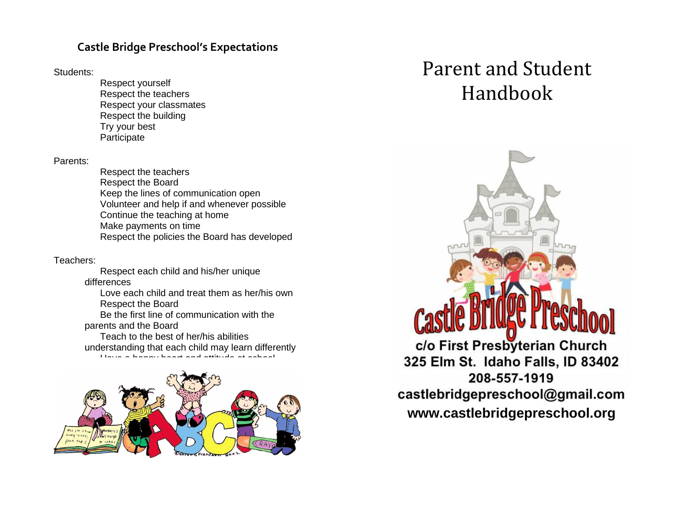## **Castle Bridge Preschool's Expectations**

Students:

Respect yourself Respect the teachers Respect your classmates Respect the building Try your best **Participate** 

Parents:

Respect the teachers Respect the Board Keep the lines of communication open Volunteer and help if and whenever possible Continue the teaching at home Make payments on time Respect the policies the Board has developed

Teachers:

Respect each child and his/her unique differences Love each child and treat them as her/his own Respect the Board Be the first line of communication with the parents and the Board

Teach to the best of her/his abilities understanding that each child may learn differently Have a happy heart and attitude at school



# Parent and Student Handbook

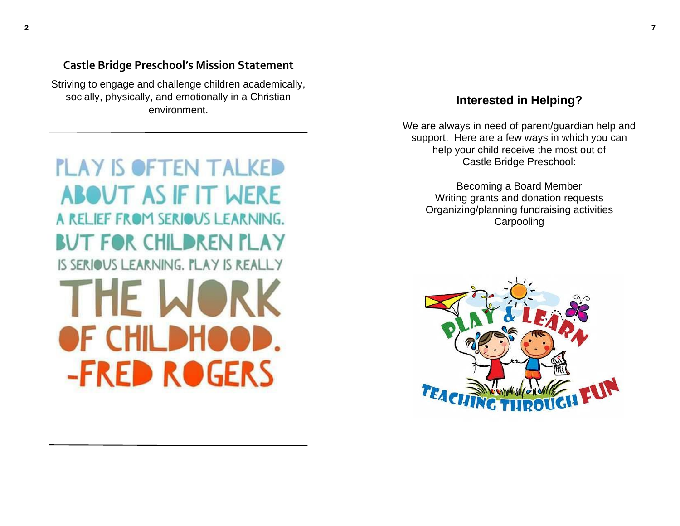**Castle Bridge Preschool's Mission Statement**

Striving to engage and challenge children academically, socially, physically, and emotionally in a Christian environment.

# **PLAY IS OFTEN TALKED ABOUT AS IF IT WERE** A RELIEF FROM SERIOUS LEARNING. BUT FOR CHILDREN PLAY IS SERIOUS LEARNING. PLAY IS REALLY THE WORK OF CHILDHOOD. **-FRED ROGERS**

## **Interested in Helping?**

We are always in need of parent/guardian help and support. Here are a few ways in which you can help your child receive the most out of Castle Bridge Preschool:

Becoming a Board Member Writing grants and donation requests Organizing/planning fundraising activities Carpooling

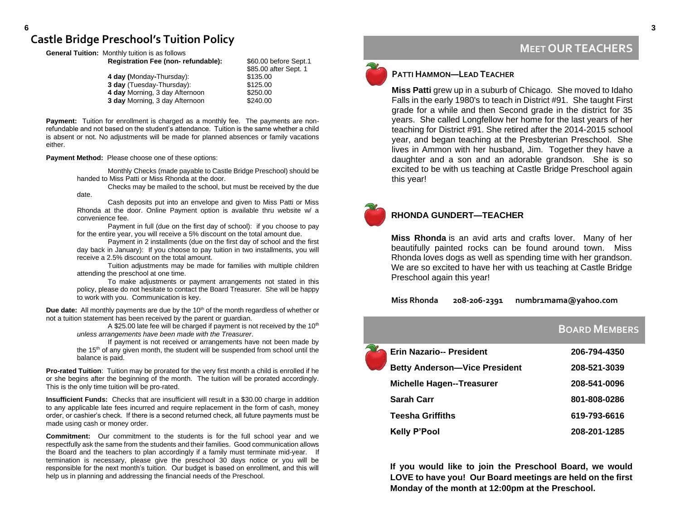### **Castle Bridge Preschool's Tuition Policy**

**General Tuition:** Monthly tuition is as follows

| \$60.00 before Sept.1 |
|-----------------------|
| \$85.00 after Sept. 1 |
| \$135.00              |
| \$125.00              |
| \$250.00              |
| \$240.00              |
|                       |

**Payment:** Tuition for enrollment is charged as a monthly fee. The payments are nonrefundable and not based on the student's attendance. Tuition is the same whether a child is absent or not. No adjustments will be made for planned absences or family vacations either.

### **Payment Method:** Please choose one of these options:

Monthly Checks (made payable to Castle Bridge Preschool) should be handed to Miss Patti or Miss Rhonda at the door.

Checks may be mailed to the school, but must be received by the due date.

Cash deposits put into an envelope and given to Miss Patti or Miss Rhonda at the door. Online Payment option is available thru website w/ a convenience fee.

Payment in full (due on the first day of school): if you choose to pay for the entire year, you will receive a 5% discount on the total amount due.

Payment in 2 installments (due on the first day of school and the first day back in January): If you choose to pay tuition in two installments, you will receive a 2.5% discount on the total amount.

Tuition adjustments may be made for families with multiple children attending the preschool at one time.

To make adjustments or payment arrangements not stated in this policy, please do not hesitate to contact the Board Treasurer. She will be happy to work with you. Communication is key.

**Due date:** All monthly payments are due by the 10<sup>th</sup> of the month regardless of whether or not a tuition statement has been received by the parent or guardian.

A \$25.00 late fee will be charged if payment is not received by the  $10<sup>th</sup>$ *unless arrangements have been made with the Treasurer*.

If payment is not received or arrangements have not been made by the 15<sup>th</sup> of any given month, the student will be suspended from school until the balance is paid.

**Pro-rated Tuition**: Tuition may be prorated for the very first month a child is enrolled if he or she begins after the beginning of the month. The tuition will be prorated accordingly. This is the only time tuition will be pro-rated.

**Insufficient Funds:** Checks that are insufficient will result in a \$30.00 charge in addition to any applicable late fees incurred and require replacement in the form of cash, money order, or cashier's check. If there is a second returned check, all future payments must be made using cash or money order.

**Commitment:** Our commitment to the students is for the full school year and we respectfully ask the same from the students and their families. Good communication allows the Board and the teachers to plan accordingly if a family must terminate mid-year. If termination is necessary, please give the preschool 30 days notice or you will be responsible for the next month's tuition. Our budget is based on enrollment, and this will help us in planning and addressing the financial needs of the Preschool.



**MEET OUR TEACHERS**

**Miss Patti** grew up in a suburb of Chicago. She moved to Idaho Falls in the early 1980's to teach in District #91. She taught First grade for a while and then Second grade in the district for 35 years. She called Longfellow her home for the last years of her teaching for District #91. She retired after the 2014-2015 school year, and began teaching at the Presbyterian Preschool. She lives in Ammon with her husband, Jim. Together they have a daughter and a son and an adorable grandson. She is so excited to be with us teaching at Castle Bridge Preschool again this year!



### **RHONDA GUNDERT—TEACHER**

**Miss Rhonda** is an avid arts and crafts lover. Many of her beautifully painted rocks can be found around town. Miss Rhonda loves dogs as well as spending time with her grandson. We are so excited to have her with us teaching at Castle Bridge Preschool again this year!

### Miss Rhonda 208-206-2391 numbr1mama@yahoo.com

# **BOARD MEMBERS Erin Nazario-- President 206-794-4350 Betty Anderson—Vice President 208-521-3039 Michelle Hagen--Treasurer 208-541-0096 Sarah Carr 801-808-0286 Teesha Griffiths 619-793-6616 Kelly P'Pool 208-201-1285**

**If you would like to join the Preschool Board, we would LOVE to have you! Our Board meetings are held on the first Monday of the month at 12:00pm at the Preschool.**